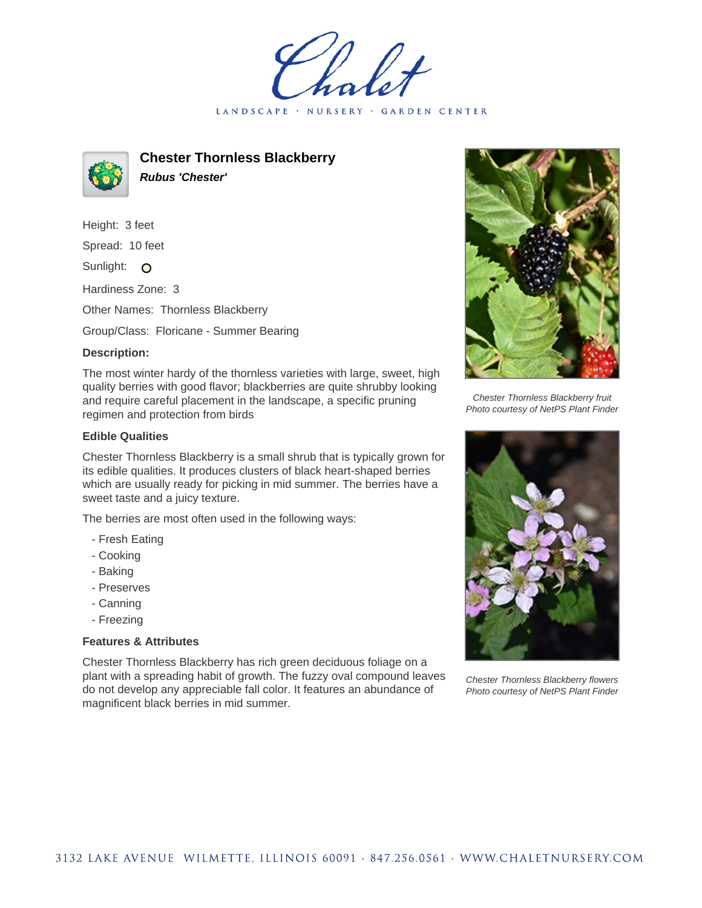LANDSCAPE · NURSERY · GARDEN CENTER



**Chester Thornless Blackberry Rubus 'Chester'**

Height: 3 feet

Spread: 10 feet

Sunlight: O

Hardiness Zone: 3

Other Names: Thornless Blackberry

Group/Class: Floricane - Summer Bearing

## **Description:**

The most winter hardy of the thornless varieties with large, sweet, high quality berries with good flavor; blackberries are quite shrubby looking and require careful placement in the landscape, a specific pruning regimen and protection from birds

## **Edible Qualities**

Chester Thornless Blackberry is a small shrub that is typically grown for its edible qualities. It produces clusters of black heart-shaped berries which are usually ready for picking in mid summer. The berries have a sweet taste and a juicy texture.

The berries are most often used in the following ways:

- Fresh Eating
- Cooking
- Baking
- Preserves
- Canning
- Freezing

## **Features & Attributes**

Chester Thornless Blackberry has rich green deciduous foliage on a plant with a spreading habit of growth. The fuzzy oval compound leaves do not develop any appreciable fall color. It features an abundance of magnificent black berries in mid summer.



Chester Thornless Blackberry fruit Photo courtesy of NetPS Plant Finder



Chester Thornless Blackberry flowers Photo courtesy of NetPS Plant Finder